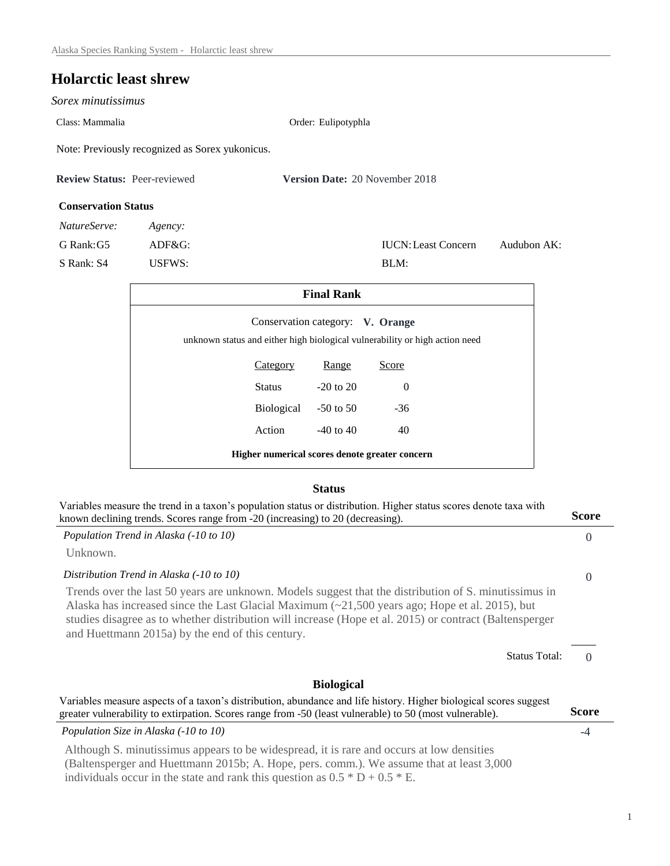# **Holarctic least shrew**

*Sorex minutissimus* 

Class: Mammalia Order: Eulipotyphla

Note: Previously recognized as Sorex yukonicus.

| <b>Review Status: Peer-reviewed</b> |         | <b>Version Date: 20 November 2018</b> |  |  |
|-------------------------------------|---------|---------------------------------------|--|--|
| <b>Conservation Status</b>          |         |                                       |  |  |
| <i>NatureServe:</i>                 | Agency: |                                       |  |  |

S Rank: S4 USFWS: BLM:

G Rank:G5 ADF&G: IUCN:Least Concern Audubon AK:

| <b>Final Rank</b>                                                                                               |                      |               |       |  |
|-----------------------------------------------------------------------------------------------------------------|----------------------|---------------|-------|--|
| Conservation category: V. Orange<br>unknown status and either high biological vulnerability or high action need |                      |               |       |  |
|                                                                                                                 | <b>Category</b>      | Range         | Score |  |
|                                                                                                                 | Status               | $-20$ to $20$ | 0     |  |
|                                                                                                                 | Biological -50 to 50 |               | $-36$ |  |
|                                                                                                                 | Action               | $-40$ to $40$ | 40    |  |
| Higher numerical scores denote greater concern                                                                  |                      |               |       |  |

### **Status**

| Variables measure the trend in a taxon's population status or distribution. Higher status scores denote taxa with<br>known declining trends. Scores range from -20 (increasing) to 20 (decreasing).                                                                                                                                                                            |          |  |  |
|--------------------------------------------------------------------------------------------------------------------------------------------------------------------------------------------------------------------------------------------------------------------------------------------------------------------------------------------------------------------------------|----------|--|--|
| Population Trend in Alaska (-10 to 10)                                                                                                                                                                                                                                                                                                                                         | $\Omega$ |  |  |
| Unknown.                                                                                                                                                                                                                                                                                                                                                                       |          |  |  |
| Distribution Trend in Alaska (-10 to 10)                                                                                                                                                                                                                                                                                                                                       | $\Omega$ |  |  |
| Trends over the last 50 years are unknown. Models suggest that the distribution of S. minutissimus in<br>Alaska has increased since the Last Glacial Maximum $\approx$ 21,500 years ago; Hope et al. 2015), but<br>studies disagree as to whether distribution will increase (Hope et al. 2015) or contract (Baltensperger<br>and Huettmann 2015a) by the end of this century. |          |  |  |
| <b>Status Total:</b>                                                                                                                                                                                                                                                                                                                                                           | $\Omega$ |  |  |
| <b>Biological</b>                                                                                                                                                                                                                                                                                                                                                              |          |  |  |
| Variables measure aspects of a taxon's distribution, abundance and life history. Higher biological scores suggest<br>greater vulnerability to extirpation. Scores range from -50 (least vulnerable) to 50 (most vulnerable).                                                                                                                                                   |          |  |  |
| Population Size in Alaska (-10 to 10)                                                                                                                                                                                                                                                                                                                                          | -4       |  |  |
| Although S. minutissimus appears to be widespread, it is rare and occurs at low densities<br>(Baltensperger and Huettmann 2015b; A. Hope, pers. comm.). We assume that at least 3,000<br>individuals occur in the state and rank this question as $0.5 * D + 0.5 * E$ .                                                                                                        |          |  |  |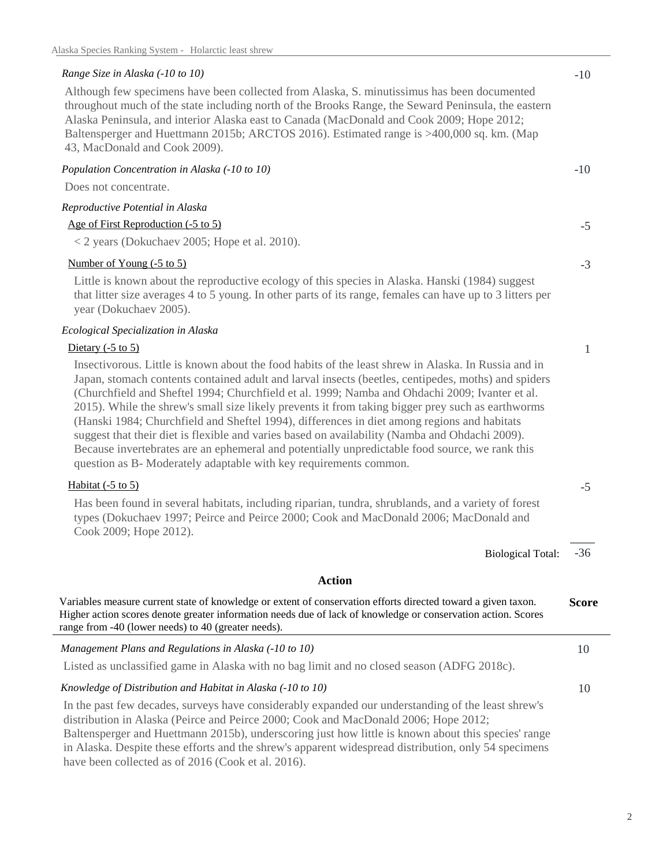## *Range Size in Alaska (-10 to 10)* -10

Although few specimens have been collected from Alaska, S. minutissimus has been documented throughout much of the state including north of the Brooks Range, the Seward Peninsula, the eastern Alaska Peninsula, and interior Alaska east to Canada (MacDonald and Cook 2009; Hope 2012; Baltensperger and Huettmann 2015b; ARCTOS 2016). Estimated range is >400,000 sq. km. (Map 43, MacDonald and Cook 2009).

*Population Concentration in Alaska (-10 to 10)* -10

| Does not concentrate.                                                                                                                                                                                                                                                                                                                                                                                                                                                                                                                                                                                                                                                                                                                                                                     |              |  |  |
|-------------------------------------------------------------------------------------------------------------------------------------------------------------------------------------------------------------------------------------------------------------------------------------------------------------------------------------------------------------------------------------------------------------------------------------------------------------------------------------------------------------------------------------------------------------------------------------------------------------------------------------------------------------------------------------------------------------------------------------------------------------------------------------------|--------------|--|--|
| Reproductive Potential in Alaska                                                                                                                                                                                                                                                                                                                                                                                                                                                                                                                                                                                                                                                                                                                                                          |              |  |  |
| Age of First Reproduction (-5 to 5)                                                                                                                                                                                                                                                                                                                                                                                                                                                                                                                                                                                                                                                                                                                                                       | $-5$         |  |  |
| < 2 years (Dokuchaev 2005; Hope et al. 2010).                                                                                                                                                                                                                                                                                                                                                                                                                                                                                                                                                                                                                                                                                                                                             |              |  |  |
| Number of Young (-5 to 5)                                                                                                                                                                                                                                                                                                                                                                                                                                                                                                                                                                                                                                                                                                                                                                 |              |  |  |
| Little is known about the reproductive ecology of this species in Alaska. Hanski (1984) suggest<br>that litter size averages 4 to 5 young. In other parts of its range, females can have up to 3 litters per<br>year (Dokuchaev 2005).                                                                                                                                                                                                                                                                                                                                                                                                                                                                                                                                                    |              |  |  |
| Ecological Specialization in Alaska                                                                                                                                                                                                                                                                                                                                                                                                                                                                                                                                                                                                                                                                                                                                                       |              |  |  |
| Dietary $(-5 \text{ to } 5)$                                                                                                                                                                                                                                                                                                                                                                                                                                                                                                                                                                                                                                                                                                                                                              | $\mathbf{1}$ |  |  |
| Insectivorous. Little is known about the food habits of the least shrew in Alaska. In Russia and in<br>Japan, stomach contents contained adult and larval insects (beetles, centipedes, moths) and spiders<br>(Churchfield and Sheftel 1994; Churchfield et al. 1999; Namba and Ohdachi 2009; Ivanter et al.<br>2015). While the shrew's small size likely prevents it from taking bigger prey such as earthworms<br>(Hanski 1984; Churchfield and Sheftel 1994), differences in diet among regions and habitats<br>suggest that their diet is flexible and varies based on availability (Namba and Ohdachi 2009).<br>Because invertebrates are an ephemeral and potentially unpredictable food source, we rank this<br>question as B- Moderately adaptable with key requirements common. |              |  |  |
| Habitat $(-5 \text{ to } 5)$                                                                                                                                                                                                                                                                                                                                                                                                                                                                                                                                                                                                                                                                                                                                                              | $-5$         |  |  |
| Has been found in several habitats, including riparian, tundra, shrublands, and a variety of forest<br>types (Dokuchaev 1997; Peirce and Peirce 2000; Cook and MacDonald 2006; MacDonald and<br>Cook 2009; Hope 2012).                                                                                                                                                                                                                                                                                                                                                                                                                                                                                                                                                                    |              |  |  |
| <b>Biological Total:</b>                                                                                                                                                                                                                                                                                                                                                                                                                                                                                                                                                                                                                                                                                                                                                                  | $-36$        |  |  |
| <b>Action</b>                                                                                                                                                                                                                                                                                                                                                                                                                                                                                                                                                                                                                                                                                                                                                                             |              |  |  |
| Variables measure current state of knowledge or extent of conservation efforts directed toward a given taxon.<br>Higher action scores denote greater information needs due of lack of knowledge or conservation action. Scores<br>range from -40 (lower needs) to 40 (greater needs).                                                                                                                                                                                                                                                                                                                                                                                                                                                                                                     | <b>Score</b> |  |  |
| Management Plans and Regulations in Alaska (-10 to 10)                                                                                                                                                                                                                                                                                                                                                                                                                                                                                                                                                                                                                                                                                                                                    | 10           |  |  |
| Listed as unclassified game in Alaska with no bag limit and no closed season (ADFG 2018c).                                                                                                                                                                                                                                                                                                                                                                                                                                                                                                                                                                                                                                                                                                |              |  |  |
| Knowledge of Distribution and Habitat in Alaska (-10 to 10)                                                                                                                                                                                                                                                                                                                                                                                                                                                                                                                                                                                                                                                                                                                               |              |  |  |
| In the past few decades, surveys have considerably expanded our understanding of the least shrew's<br>distribution in Alaska (Peirce and Peirce 2000; Cook and MacDonald 2006; Hope 2012;<br>Baltensperger and Huettmann 2015b), underscoring just how little is known about this species' range                                                                                                                                                                                                                                                                                                                                                                                                                                                                                          |              |  |  |

 have been collected as of 2016 (Cook et al. 2016). in Alaska. Despite these efforts and the shrew's apparent widespread distribution, only 54 specimens

# 2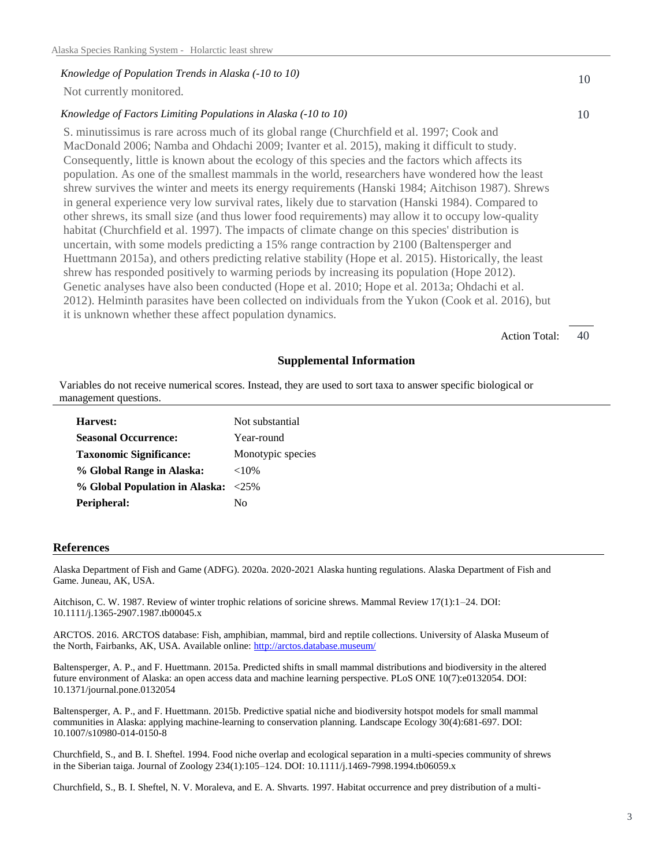#### *Knowledge of Population Trends in Alaska (-10 to 10)*

Not currently monitored.

### *Knowledge of Factors Limiting Populations in Alaska (-10 to 10)*

 MacDonald 2006; Namba and Ohdachi 2009; Ivanter et al. 2015), making it difficult to study. Huettmann 2015a), and others predicting relative stability (Hope et al. 2015). Historically, the least S. minutissimus is rare across much of its global range (Churchfield et al. 1997; Cook and Consequently, little is known about the ecology of this species and the factors which affects its population. As one of the smallest mammals in the world, researchers have wondered how the least shrew survives the winter and meets its energy requirements (Hanski 1984; Aitchison 1987). Shrews in general experience very low survival rates, likely due to starvation (Hanski 1984). Compared to other shrews, its small size (and thus lower food requirements) may allow it to occupy low-quality habitat (Churchfield et al. 1997). The impacts of climate change on this species' distribution is uncertain, with some models predicting a 15% range contraction by 2100 (Baltensperger and shrew has responded positively to warming periods by increasing its population (Hope 2012). Genetic analyses have also been conducted (Hope et al. 2010; Hope et al. 2013a; Ohdachi et al. 2012). Helminth parasites have been collected on individuals from the Yukon (Cook et al. 2016), but it is unknown whether these affect population dynamics.

> Action Total: 40

10

10

#### **Supplemental Information**

Variables do not receive numerical scores. Instead, they are used to sort taxa to answer specific biological or management questions.

| Harvest:                            | Not substantial   |
|-------------------------------------|-------------------|
| <b>Seasonal Occurrence:</b>         | Year-round        |
| <b>Taxonomic Significance:</b>      | Monotypic species |
| % Global Range in Alaska:           | ${<}10\%$         |
| % Global Population in Alaska: <25% |                   |
| Peripheral:                         | Nο                |

#### **References**

 Alaska Department of Fish and Game (ADFG). 2020a. 2020-2021 Alaska hunting regulations. Alaska Department of Fish and Game. Juneau, AK, USA.

 Aitchison, C. W. 1987. Review of winter trophic relations of soricine shrews. Mammal Review 17(1):1–24. DOI: 10.1111/j.1365-2907.1987.tb00045.x

 ARCTOS. 2016. ARCTOS database: Fish, amphibian, mammal, bird and reptile collections. University of Alaska Museum of the North, Fairbanks, AK, USA. Available online: http://arctos.database.museum/

 Baltensperger, A. P., and F. Huettmann. 2015a. Predicted shifts in small mammal distributions and biodiversity in the altered future environment of Alaska: an open access data and machine learning perspective. PLoS ONE 10(7):e0132054. DOI: 10.1371/journal.pone.0132054

 Baltensperger, A. P., and F. Huettmann. 2015b. Predictive spatial niche and biodiversity hotspot models for small mammal communities in Alaska: applying machine-learning to conservation planning. Landscape Ecology 30(4):681-697. DOI: 10.1007/s10980-014-0150-8

 Churchfield, S., and B. I. Sheftel. 1994. Food niche overlap and ecological separation in a multi-species community of shrews in the Siberian taiga. Journal of Zoology 234(1):105–124. DOI: 10.1111/j.1469-7998.1994.tb06059.x

Churchfield, S., B. I. Sheftel, N. V. Moraleva, and E. A. Shvarts. 1997. Habitat occurrence and prey distribution of a multi-